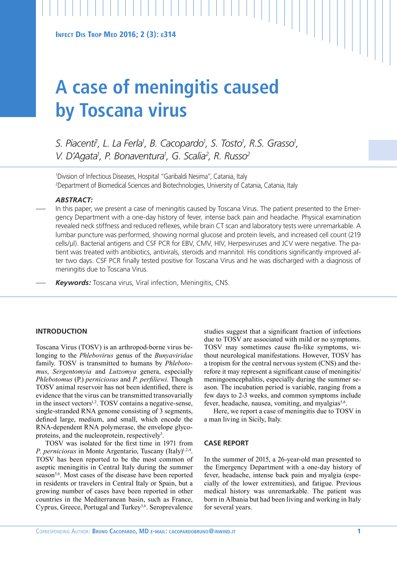# **A case of meningitis caused by Toscana virus**

*S. Piacenti1 , L. La Ferla1 , B. Cacopardo1 , S. Tosto1 , R.S. Grasso1 , V. D'Agata1 , P. Bonaventura1 , G. Scalia2 , R. Russo2*

1 Division of Infectious Diseases, Hospital "Garibaldi Nesima", Catania, Italy 2 Department of Biomedical Sciences and Biotechnologies, University of Catania, Catania, Italy

# *ABSTRACT:*

In this paper, we present a case of meningitis caused by Toscana Virus. The patient presented to the Emergency Department with a one-day history of fever, intense back pain and headache. Physical examination revealed neck stiffness and reduced reflexes, while brain CT scan and laboratory tests were unremarkable. A lumbar puncture was performed, showing normal glucose and protein levels, and increased cell count (219 cells/µl). Bacterial antigens and CSF PCR for EBV, CMV, HIV, Herpesviruses and JCV were negative. The patient was treated with antibiotics, antivirals, steroids and mannitol. His conditions significantly improved after two days. CSF PCR finally tested positive for Toscana Virus and he was discharged with a diagnosis of meningitis due to Toscana Virus.

— *Keywords:* Toscana virus, Viral infection, Meningitis, CNS.

# **INTRODUCTION**

Toscana Virus (TOSV) is an arthropod-borne virus belonging to the *Phlebovirus* genus of the *Bunyaviridae* family. TOSV is transmitted to humans by *Phlebotomus*, *Sergentomyia* and *Lutzomya* genera, especially *Phlebotomus* (P.) *perniciosus* and *P. perfiliewi.* Though TOSV animal reservoir has not been identified, there is evidence that the virus can be transmitted transovarially in the insect vectors<sup>1,2</sup>. TOSV contains a negative-sense, single-stranded RNA genome consisting of 3 segments, defined large, medium, and small, which encode the RNA-dependent RNA polymerase, the envelope glycoproteins, and the nucleoprotein, respectively<sup>3</sup>.

TOSV was isolated for the first time in 1971 from *P. perniciosus* in Monte Argentario, Tuscany (Italy)<sup>1,2,4</sup>. TOSV has been reported to be the most common of aseptic meningitis in Central Italy during the summer season<sup>5,6</sup>. Most cases of the disease have been reported in residents or travelers in Central Italy or Spain, but a growing number of cases have been reported in other countries in the Mediterranean basin, such as France, Cyprus, Greece, Portugal and Turkey<sup>5,6</sup>. Seroprevalence

studies suggest that a significant fraction of infections due to TOSV are associated with mild or no symptoms. TOSV may sometimes cause flu-like symptoms, without neurological manifestations. However, TOSV has a tropism for the central nervous system (CNS) and therefore it may represent a significant cause of meningitis/ meningoencephalitis, especially during the summer season. The incubation period is variable, ranging from a few days to 2-3 weeks, and common symptoms include fever, headache, nausea, vomiting, and myalgias<sup>5,6</sup>.

Here, we report a case of meningitis due to TOSV in a man living in Sicily, Italy.

#### **CASE REPORT**

In the summer of 2015, a 26-year-old man presented to the Emergency Department with a one-day history of fever, headache, intense back pain and myalgia (especially of the lower extremities), and fatigue. Previous medical history was unremarkable. The patient was born in Albania but had been living and working in Italy for several years.